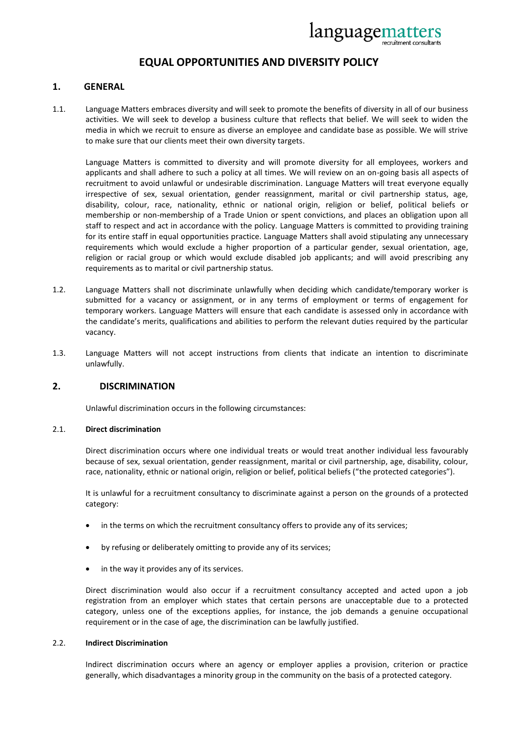

# **EQUAL OPPORTUNITIES AND DIVERSITY POLICY**

## **1. GENERAL**

1.1. Language Matters embraces diversity and will seek to promote the benefits of diversity in all of our business activities. We will seek to develop a business culture that reflects that belief. We will seek to widen the media in which we recruit to ensure as diverse an employee and candidate base as possible. We will strive to make sure that our clients meet their own diversity targets.

Language Matters is committed to diversity and will promote diversity for all employees, workers and applicants and shall adhere to such a policy at all times. We will review on an on-going basis all aspects of recruitment to avoid unlawful or undesirable discrimination. Language Matters will treat everyone equally irrespective of sex, sexual orientation, gender reassignment, marital or civil partnership status, age, disability, colour, race, nationality, ethnic or national origin, religion or belief, political beliefs or membership or non-membership of a Trade Union or spent convictions, and places an obligation upon all staff to respect and act in accordance with the policy. Language Matters is committed to providing training for its entire staff in equal opportunities practice. Language Matters shall avoid stipulating any unnecessary requirements which would exclude a higher proportion of a particular gender, sexual orientation, age, religion or racial group or which would exclude disabled job applicants; and will avoid prescribing any requirements as to marital or civil partnership status.

- 1.2. Language Matters shall not discriminate unlawfully when deciding which candidate/temporary worker is submitted for a vacancy or assignment, or in any terms of employment or terms of engagement for temporary workers. Language Matters will ensure that each candidate is assessed only in accordance with the candidate's merits, qualifications and abilities to perform the relevant duties required by the particular vacancy.
- 1.3. Language Matters will not accept instructions from clients that indicate an intention to discriminate unlawfully.

## **2. DISCRIMINATION**

Unlawful discrimination occurs in the following circumstances:

#### 2.1. **Direct discrimination**

 Direct discrimination occurs where one individual treats or would treat another individual less favourably because of sex, sexual orientation, gender reassignment, marital or civil partnership, age, disability, colour, race, nationality, ethnic or national origin, religion or belief, political beliefs ("the protected categories").

 It is unlawful for a recruitment consultancy to discriminate against a person on the grounds of a protected category:

- in the terms on which the recruitment consultancy offers to provide any of its services;
- by refusing or deliberately omitting to provide any of its services;
- in the way it provides any of its services.

 Direct discrimination would also occur if a recruitment consultancy accepted and acted upon a job registration from an employer which states that certain persons are unacceptable due to a protected category, unless one of the exceptions applies, for instance, the job demands a genuine occupational requirement or in the case of age, the discrimination can be lawfully justified.

### 2.2. **Indirect Discrimination**

 Indirect discrimination occurs where an agency or employer applies a provision, criterion or practice generally, which disadvantages a minority group in the community on the basis of a protected category.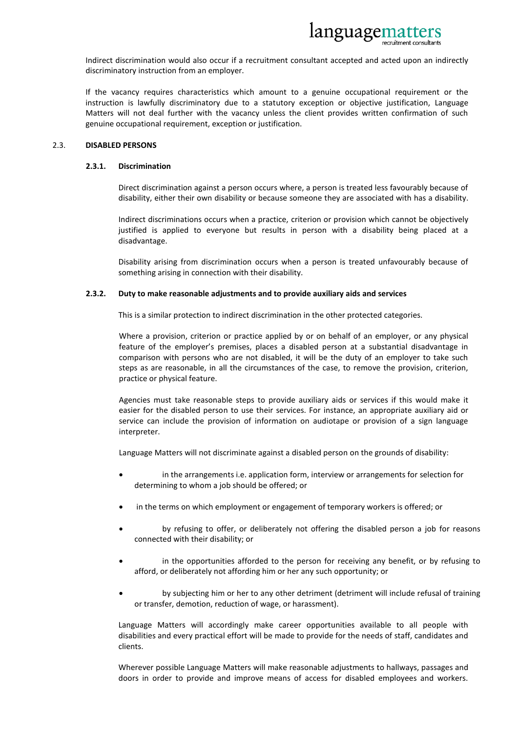

 Indirect discrimination would also occur if a recruitment consultant accepted and acted upon an indirectly discriminatory instruction from an employer.

 If the vacancy requires characteristics which amount to a genuine occupational requirement or the instruction is lawfully discriminatory due to a statutory exception or objective justification, Language Matters will not deal further with the vacancy unless the client provides written confirmation of such genuine occupational requirement, exception or justification.

#### 2.3. **DISABLED PERSONS**

#### **2.3.1. Discrimination**

 Direct discrimination against a person occurs where, a person is treated less favourably because of disability, either their own disability or because someone they are associated with has a disability.

 Indirect discriminations occurs when a practice, criterion or provision which cannot be objectively justified is applied to everyone but results in person with a disability being placed at a disadvantage.

 Disability arising from discrimination occurs when a person is treated unfavourably because of something arising in connection with their disability.

#### **2.3.2. Duty to make reasonable adjustments and to provide auxiliary aids and services**

This is a similar protection to indirect discrimination in the other protected categories.

 Where a provision, criterion or practice applied by or on behalf of an employer, or any physical feature of the employer's premises, places a disabled person at a substantial disadvantage in comparison with persons who are not disabled, it will be the duty of an employer to take such steps as are reasonable, in all the circumstances of the case, to remove the provision, criterion, practice or physical feature.

 Agencies must take reasonable steps to provide auxiliary aids or services if this would make it easier for the disabled person to use their services. For instance, an appropriate auxiliary aid or service can include the provision of information on audiotape or provision of a sign language interpreter.

Language Matters will not discriminate against a disabled person on the grounds of disability:

- in the arrangements i.e. application form, interview or arrangements for selection for determining to whom a job should be offered; or
- in the terms on which employment or engagement of temporary workers is offered; or
- by refusing to offer, or deliberately not offering the disabled person a job for reasons connected with their disability; or
- in the opportunities afforded to the person for receiving any benefit, or by refusing to afford, or deliberately not affording him or her any such opportunity; or
- by subjecting him or her to any other detriment (detriment will include refusal of training or transfer, demotion, reduction of wage, or harassment).

 Language Matters will accordingly make career opportunities available to all people with disabilities and every practical effort will be made to provide for the needs of staff, candidates and clients.

 Wherever possible Language Matters will make reasonable adjustments to hallways, passages and doors in order to provide and improve means of access for disabled employees and workers.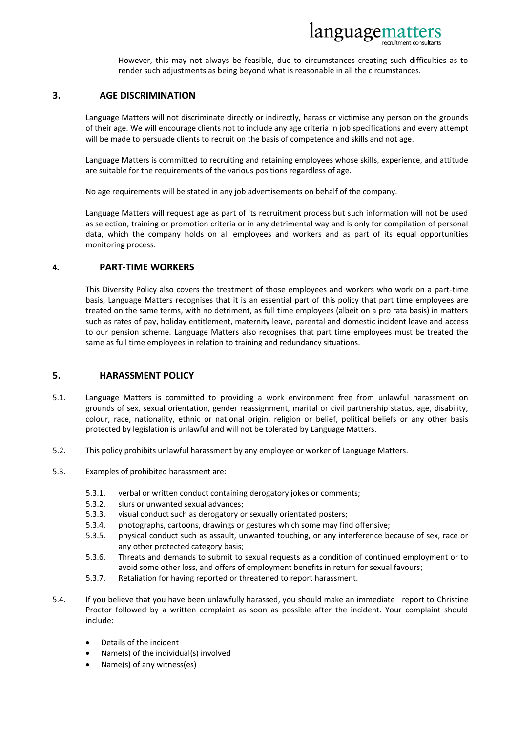

However, this may not always be feasible, due to circumstances creating such difficulties as to render such adjustments as being beyond what is reasonable in all the circumstances.

## **3. AGE DISCRIMINATION**

 Language Matters will not discriminate directly or indirectly, harass or victimise any person on the grounds of their age. We will encourage clients not to include any age criteria in job specifications and every attempt will be made to persuade clients to recruit on the basis of competence and skills and not age.

 Language Matters is committed to recruiting and retaining employees whose skills, experience, and attitude are suitable for the requirements of the various positions regardless of age.

No age requirements will be stated in any job advertisements on behalf of the company.

 Language Matters will request age as part of its recruitment process but such information will not be used as selection, training or promotion criteria or in any detrimental way and is only for compilation of personal data, which the company holds on all employees and workers and as part of its equal opportunities monitoring process.

#### **4. PART-TIME WORKERS**

 This Diversity Policy also covers the treatment of those employees and workers who work on a part-time basis, Language Matters recognises that it is an essential part of this policy that part time employees are treated on the same terms, with no detriment, as full time employees (albeit on a pro rata basis) in matters such as rates of pay, holiday entitlement, maternity leave, parental and domestic incident leave and access to our pension scheme. Language Matters also recognises that part time employees must be treated the same as full time employees in relation to training and redundancy situations.

## **5. HARASSMENT POLICY**

- 5.1. Language Matters is committed to providing a work environment free from unlawful harassment on grounds of sex, sexual orientation, gender reassignment, marital or civil partnership status, age, disability, colour, race, nationality, ethnic or national origin, religion or belief, political beliefs or any other basis protected by legislation is unlawful and will not be tolerated by Language Matters.
- 5.2. This policy prohibits unlawful harassment by any employee or worker of Language Matters.
- 5.3. Examples of prohibited harassment are:
	- 5.3.1. verbal or written conduct containing derogatory jokes or comments;
	- 5.3.2. slurs or unwanted sexual advances;
	- 5.3.3. visual conduct such as derogatory or sexually orientated posters;
	- 5.3.4. photographs, cartoons, drawings or gestures which some may find offensive;
	- 5.3.5. physical conduct such as assault, unwanted touching, or any interference because of sex, race or any other protected category basis;
	- 5.3.6. Threats and demands to submit to sexual requests as a condition of continued employment or to avoid some other loss, and offers of employment benefits in return for sexual favours;
	- 5.3.7. Retaliation for having reported or threatened to report harassment.
- 5.4. If you believe that you have been unlawfully harassed, you should make an immediate report to Christine Proctor followed by a written complaint as soon as possible after the incident. Your complaint should include:
	- Details of the incident
	- Name(s) of the individual(s) involved
	- Name(s) of any witness(es)